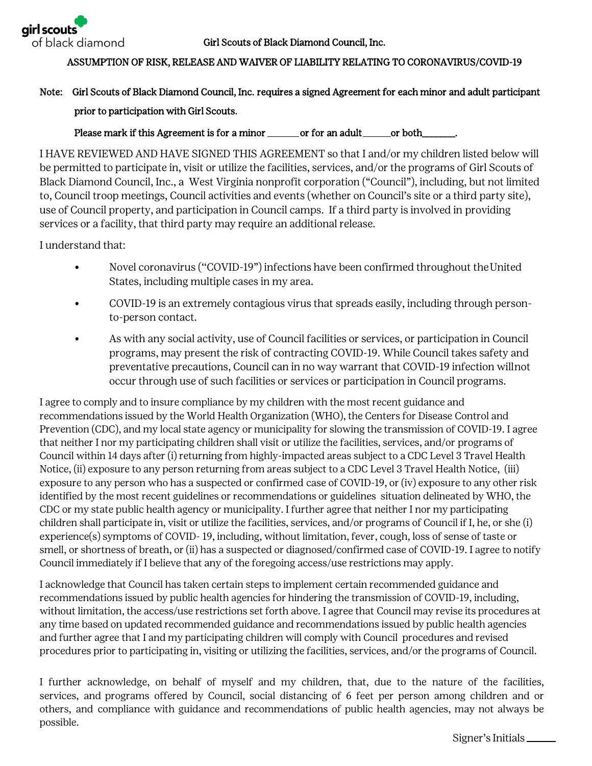

## ASSUMPTION OF RISK, RELEASE AND WAIVER OF LIABILITY RELATING TO CORONAVIRUS/COVID-19

## Note: Girl Scouts of Black Diamond Council, Inc. requires a signed Agreement for each minor and adult participant prior to participation with Girl Scouts.

Please mark if this Agreement is for a minor \_\_\_\_\_\_\_\_\_ or for an adult \_\_\_\_\_\_\_ or both\_\_\_\_\_

I HAVE REVIEWED AND HAVE SIGNED THIS AGREEMENT so that I and/or my children listed below will be permitted to participate in, visit or utilize the facilities, services, and/or the programs of Girl Scouts of Black Diamond Council, Inc., a West Virginia nonprofit corporation ("Council"), including, but not limited to, Council troop meetings, Council activities and events (whether on Council's site or a third party site), use of Council property, and participation in Council camps. If a third party is involved in providing services or a facility, that third party may require an additional release.

I understand that:

- Novel coronavirus ("COVID-19") infections have been confirmed throughout the United States, including multiple cases in my area.
- COVID-19 is an extremely contagious virus that spreads easily, including through personto-person contact.
- As with any social activity, use of Council facilities or services, or participation in Council programs, may present the risk of contracting COVID-19. While Council takes safety and preventative precautions, Council can in no way warrant that COVID-19 infection will not occur through use of such facilities or services or participation in Council programs.

I agree to comply and to insure compliance by my children with the most recent guidance and recommendations issued by the World Health Organization (WHO), the Centers for Disease Control and Prevention (CDC), and my local state agency or municipality for slowing the transmission of COVID-19. I agree that neither I nor my participating children shall visit or utilize the facilities, services, and/or programs of Council within 14 days after (i) returning from highly-impacted areas subject to a CDC Level 3 Travel Health Notice, (ii) exposure to any person returning from areas subject to a CDC Level 3 Travel Health Notice, (iii) exposure to any person who has a suspected or confirmed case of COVID-19, or (iv) exposure to any other risk identified by the most recent guidelines or recommendations or guidelines situation delineated by WHO, the CDC or my state public health agency or municipality. I further agree that neither I nor my participating children shall participate in, visit or utilize the facilities, services, and/or programs of Council if I, he, or she (i) experience(s) symptoms of COVID- 19, including, without limitation, fever, cough, loss of sense of taste or smell, or shortness of breath, or (ii) has a suspected or diagnosed/confirmed case of COVID-19. I agree to notify Council immediately if I believe that any of the foregoing access/use restrictions may apply.

I acknowledge that Council has taken certain steps to implement certain recommended guidance and recommendations issued by public health agencies for hindering the transmission of COVID-19, including, without limitation, the access/use restrictions set forth above. I agree that Council may revise its procedures at any time based on updated recommended guidance and recommendations issued by public health agencies and further agree that I and my participating children will comply with Council procedures and revised procedures prior to participating in, visiting or utilizing the facilities, services, and/or the programs of Council.

I further acknowledge, on behalf of myself and my children, that, due to the nature of the facilities, services, and programs offered by Council, social distancing of 6 feet per person among children and or others, and compliance with guidance and recommendations of public health agencies, may not always be possible.